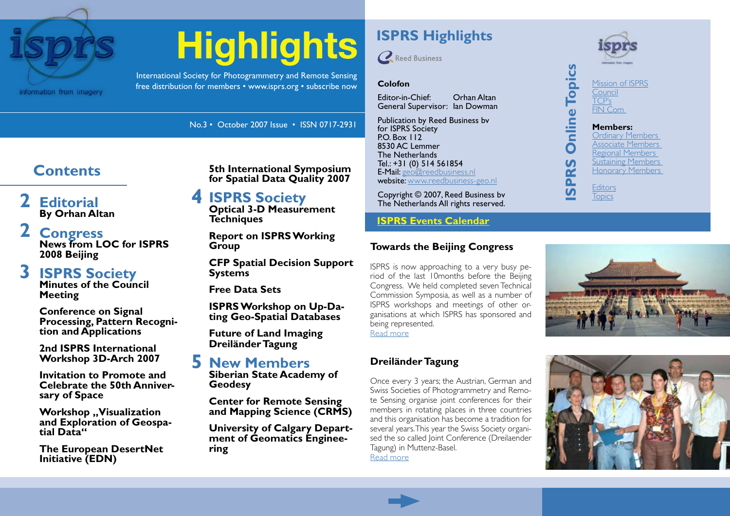

# **Highlights**

International Society for Photogrammetry and Remote Sensing free distribution for members • www.isprs.org • subscribe now

# **[ISPRS Highlights](#page-2-0)**



#### **[Colofon](#page-2-0)**

[Editor-in-Chief: Orhan](#page-2-0) Altan General [Supervisor:](#page-2-0) Ian Dowman

[Publication](#page-2-0) by Reed Business bv for ISPRS [Society](#page-2-0) PO. [Box](#page-2-0) 112 8530 AC [Lemmer](#page-2-0) The [Netherlands](#page-2-0) Tel.: +31 (0) 514 [561854](#page-2-0) E-Mail: [geo@reedbusiness.nl](#page-2-0) website: [www.reedbusiness-geo.nl](#page-2-0)

[Copyright](#page-2-0) © 2007, Reed Business bv The [Netherlands](#page-2-0) All rights reserved.

#### **[ISPRS Events Calendar](http://www.isprs.org/calendar.html)**

#### **Towards the Beijing Congress**

ISPRS is now approaching to a very busy period of the last 10months before the Beijing Congress. We held completed seven Technical Commission Symposia, as well as a number of ISPRS workshops and meetings of other organisations at which ISPRS has sponsored and being represented.



[Read more](#page-1-0)

# **Dreiländer Tagung**

Once every 3 years; the Austrian, German and Swiss Societies of Photogrammetry and Remote Sensing organise joint conferences for their members in rotating places in three countries and this organisation has become a tradition for several years. This year the Swiss Society organised the so called Joint Conference (Dreilaender Tagung) in Muttenz-Basel. [Read more](#page-3-0)

#### [Mission of ISPRS](#page-2-0) [Council](#page-2-0) [TCP's](#page-2-0) [FIN Com](#page-2-0)

No.3 • October 2007 Issue • ISSN 0717-2931

# **Contents**

**[Editorial](#page-1-0) [By Orhan Altan](#page-1-0) [2](#page-1-0)**

**[Congress](#page-1-0) [News from LOC for ISPRS](#page-1-0)  [2008 Beijing](#page-1-0) [2](#page-1-0)**

#### **[ISPRS Society](#page-2-0) [Minutes of the Council](#page-2-0)  [Meeting](#page-2-0) [3](#page-2-0)**

**[Conference on Signal](#page-2-0)  [Processing, Pattern Recogni-](#page-2-0) [tion and Applications](#page-2-0)**

**[2nd ISPRS International](#page-2-0)  [Workshop 3D-Arch 2007](#page-2-0)**

**[Invitation to Promote and](#page-2-0)  [Celebrate the 50th Anniver-](#page-2-0) [sary of Space](#page-2-0)**

**Workshop** .. Visualization **[and Exploration of Geospa-](#page-2-0) [tial Data"](#page-2-0)**

**[The European DesertNet](#page-2-0)  [Initiative \(EDN\)](#page-2-0)**

**[5th International Symposium](#page-2-0)  [for Spatial Data Quality 2007](#page-2-0)**

#### **[4](#page-2-0) [ISPRS Society](#page-3-0)**

**[Optical 3-D Measurement](#page-3-0)  [Techniques](#page-3-0)**

**[Report on ISPRS Working](#page-3-0)  [Group](#page-3-0)**

**[CFP Spatial Decision Support](#page-3-0)  [Systems](#page-3-0)**

**[Free Data Sets](#page-3-0)**

**[ISPRS Workshop on Up-Da-](#page-3-0) [ting Geo-Spatial Databases](#page-3-0)**

**[Future of Land Imaging](#page-3-0) [Dreiländer Tagung](#page-3-0)**

# **[New Members](#page-4-0) [5](#page-4-0)**

**[Siberian State Academy of](#page-4-0)  [Geodesy](#page-4-0)**

**[Center for Remote Sensing](#page-4-0)  [and Mapping Science \(CRMS\)](#page-4-0)**

**[University of Calgary Depart-](#page-4-0) [ment of Geomatics Enginee](#page-4-0)[ring](#page-4-0)**

**[Members:](#page-2-0)** [Ordinary Members](#page-2-0) [Associate Members](#page-2-0) [Regional Members](#page-2-0) [Sustaining Members](#page-2-0) [Honorary Members](#page-2-0)

**[Editors](#page-2-0) [Topics](#page-2-0) [ISPRS Online Topics](#page-2-0)**

**Online Topics** 

PRS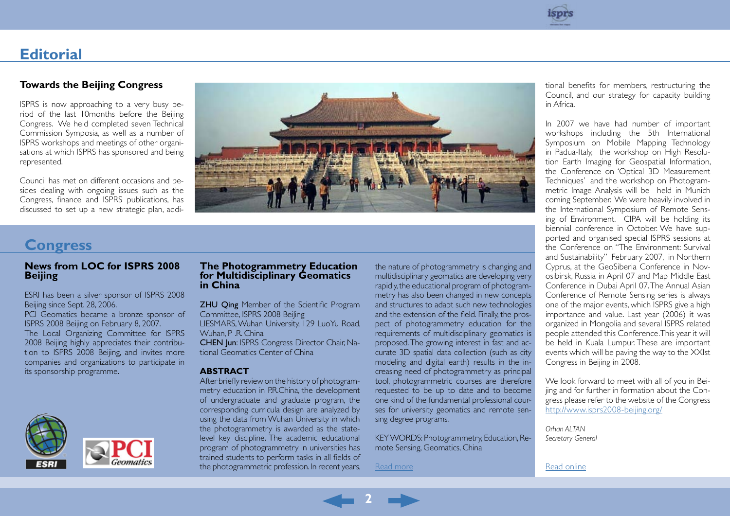

# <span id="page-1-0"></span>**Editorial**

#### **Towards the Beijing Congress**

ISPRS is now approaching to a very busy period of the last 10months before the Beijing Congress. We held completed seven Technical Commission Symposia, as well as a number of ISPRS workshops and meetings of other organisations at which ISPRS has sponsored and being represented.

Council has met on different occasions and besides dealing with ongoing issues such as the Congress, finance and ISPRS publications, has discussed to set up a new strategic plan, addi-



### **Congress**

#### **News from LOC for ISPRS 2008 Beijing**

ESRI has been a silver sponsor of ISPRS 2008 Beijing since Sept. 28, 2006.

PCI Geomatics became a bronze sponsor of ISPRS 2008 Beijing on February 8, 2007. The Local Organizing Committee for ISPRS 2008 Beijing highly appreciates their contribution to ISPRS 2008 Beijing, and invites more companies and organizations to participate in its sponsorship programme.



#### **The Photogrammetry Education for Multidisciplinary Geomatics in China**

**ZHU Qing** Member of the Scientific Program Committee, ISPRS 2008 BeiJing LIESMARS, Wuhan University, 129 LuoYu Road, Wuhan, P .R. China CHEN Jun: ISPRS Congress Director Chair, Na-

tional Geomatics Center of China

#### **ABSTRACT**

After briefly review on the history of photogrammetry education in P.R.China, the development of undergraduate and graduate program, the corresponding curricula design are analyzed by using the data from Wuhan University in which the photogrammetry is awarded as the statelevel key discipline. The academic educational program of photogrammetry in universities has trained students to perform tasks in all fields of the photogrammetric profession. In recent years,

the nature of photogrammetry is changing and multidisciplinary geomatics are developing very rapidly, the educational program of photogrammetry has also been changed in new concepts and structures to adapt such new technologies and the extension of the field. Finally, the prospect of photogrammetry education for the requirements of multidisciplinary geomatics is proposed. The growing interest in fast and accurate 3D spatial data collection (such as city modeling and digital earth) results in the increasing need of photogrammetry as principal tool, photogrammetric courses are therefore requested to be up to date and to become one kind of the fundamental professional courses for university geomatics and remote sensing degree programs.

KEY WORDS: Photogrammetry, Education, Remote Sensing, Geomatics, China

[Read more](http://www.isprs.org/publications/highlights/highlights1007/congress-photogrammetry.html)

tional benefits for members, restructuring the Council, and our strategy for capacity building in Africa.

In 2007 we have had number of important workshops including the 5th International Symposium on Mobile Mapping Technology in Padua-Italy, the workshop on High Resolution Earth Imaging for Geospatial Information, the Conference on 'Optical 3D Measurement Techniques' and the workshop on Photogrammetric Image Analysis will be held in Munich coming September. We were heavily involved in the International Symposium of Remote Sensing of Environment. CIPA will be holding its biennial conference in October. We have supported and organised special ISPRS sessions at the Conference on "The Environment: Survival and Sustainability" February 2007, in Northern Cyprus, at the GeoSiberia Conference in Novosibirsk, Russia in April 07 and Map Middle East Conference in Dubai April 07. The Annual Asian Conference of Remote Sensing series is always one of the major events, which ISPRS give a high importance and value. Last year (2006) it was organized in Mongolia and several ISPRS related people attended this Conference. This year it will be held in Kuala Lumpur. These are important events which will be paving the way to the XXIst Congress in Beijing in 2008.

We look forward to meet with all of you in Beijing and for further in formation about the Congress please refer to the website of the Congress <http://www.isprs2008-beijing.org/>

*Orhan ALTAN Secretary General*

[Read online](http://www.isprs.org/publications/highlights/highlights1007/edito.html)

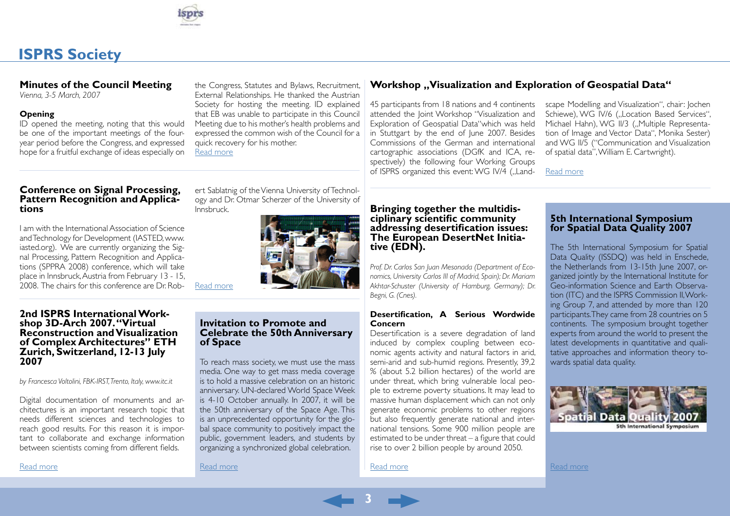

# <span id="page-2-0"></span>**ISPRS Society**

#### **Minutes of the Council Meeting**

*Vienna, 3-5 March, 2007*

#### **Opening**

ID opened the meeting, noting that this would be one of the important meetings of the fouryear period before the Congress, and expressed hope for a fruitful exchange of ideas especially on

the Congress, Statutes and Bylaws, Recruitment, External Relationships. He thanked the Austrian Society for hosting the meeting. ID explained that EB was unable to participate in this Council Meeting due to his mother's health problems and expressed the common wish of the Council for a quick recovery for his mother. [Read more](http://www.isprs.org/publications/highlights/highlights1007/council.html)

ert Sablatnig of the Vienna University of Technology and Dr. Otmar Scherzer of the University of

# **Conference on Signal Processing, Pattern Recognition and Applica- tions**

I am with the International Association of Science and Technology for Development (IASTED, www. iasted.org). We are currently organizing the Signal Processing, Pattern Recognition and Applications (SPPRA 2008) conference, which will take place in Innsbruck, Austria from February 13 - 15, 2008. The chairs for this conference are Dr. Rob-

[Read more](http://www.isprs.org/publications/highlights/highlights1007/signalprocessing.html)

Innsbruck.

#### **2nd ISPRS International Work- shop 3D-Arch 2007. "Virtual Reconstruction and Visualization of Complex Architectures" ETH Zurich, Switzerland, 12-13 July 2007**

*by Francesca Voltolini, FBK-IRST, Trento, Italy, www.itc.it*

Digital documentation of monuments and architectures is an important research topic that needs different sciences and technologies to reach good results. For this reason it is important to collaborate and exchange information between scientists coming from different fields.

[Read more](http://www.isprs.org/publications/highlights/highlights1007/3d-arch.html)

#### **Invitation to Promote and Celebrate the 50th Anniversary of Space**

To reach mass society, we must use the mass media. One way to get mass media coverage is to hold a massive celebration on an historic anniversary. UN-declared World Space Week is 4-10 October annually. In 2007, it will be the 50th anniversary of the Space Age. This is an unprecedented opportunity for the global space community to positively impact the public, government leaders, and students by organizing a synchronized global celebration.

[Read more](http://www.isprs.org/publications/highlights/highlights1007/50thanniversaryspace.pdf)

[Read more](http://www.isprs.org/publications/highlights/highlights1007/desertification.html)

**3**

#### **Workshop .. Visualization and Exploration of Geospatial Data"**

45 participants from 18 nations and 4 continents attended the Joint Workshop "Visualization and Exploration of Geospatial Data"which was held in Stuttgart by the end of June 2007. Besides Commissions of the German and international cartographic associations (DGfK and ICA, respectively) the following four Working Groups of ISPRS organized this event: WG IV/4 ("Landscape Modelling and Visualization", chair: Jochen Schiewe), WG IV/6 ("Location Based Services", Michael Hahn), WG II/3 ("Multiple Representation of Image and Vector Data", Monika Sester) and WG II/5 ("Communication and Visualization of spatial data", William E. Cartwright).

[Read more](http://www.isprs.org/publications/highlights/highlights1007/visualisation.html)

# **Bringing together the multidis- ciplinary scientific community addressing desertification issues: The European DesertNet Initia- tive (EDN).**

*Prof. Dr. Carlos San Juan Mesonada (Department of Economics, University Carlos III of Madrid, Spain); Dr. Mariam Akhtar-Schuster (University of Hamburg, Germany); Dr. Begni, G. (Cnes).* 

#### **Desertification, A Serious Wordwide Concern**

Desertification is a severe degradation of land induced by complex coupling between economic agents activity and natural factors in arid, semi-arid and sub-humid regions. Presently, 39,2 % (about 5.2 billion hectares) of the world are under threat, which bring vulnerable local people to extreme poverty situations. It may lead to massive human displacement which can not only generate economic problems to other regions but also frequently generate national and international tensions. Some 900 million people are estimated to be under threat – a figure that could rise to over 2 billion people by around 2050.

#### **5th International Symposium for Spatial Data Quality 2007**

The 5th International Symposium for Spatial Data Quality (ISSDQ) was held in Enschede, the Netherlands from 13-15th June 2007, organized jointly by the International Institute for Geo-information Science and Earth Observation (ITC) and the ISPRS Commission II, Working Group 7, and attended by more than 120 participants. They came from 28 countries on 5 continents. The symposium brought together experts from around the world to present the latest developments in quantitative and qualitative approaches and information theory towards spatial data quality.



[Read more](http://www.isprs.org/publications/highlights/highlights1007/sdq.html)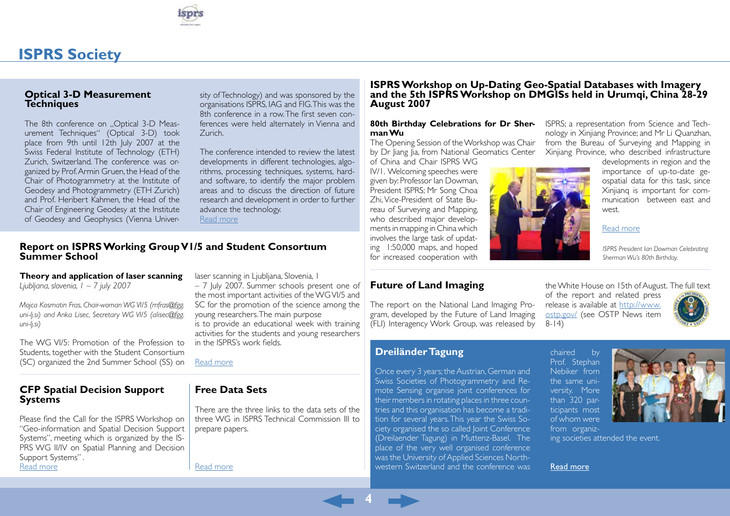

# <span id="page-3-0"></span>**ISPRS Society**

#### **Optical 3-D Measurement Techniques**

The 8th conference on ..Optical 3-D Measurement Techniques" (Optical 3-D) took place from 9th until 12th July 2007 at the Swiss Federal Institute of Technology (ETH) Zurich, Switzerland. The conference was organized by Prof. Armin Gruen, the Head of the Chair of Photogrammetry at the Institute of Geodesy and Photogrammetry (ETH Zurich) and Prof. Heribert Kahmen, the Head of the Chair of Engineering Geodesy at the Institute of Geodesy and Geophysics (Vienna University of Technology) and was sponsored by the organisations ISPRS, IAG and FIG. This was the 8th conference in a row. The first seven conferences were held alternately in Vienna and Zurich.

The conference intended to review the latest developments in different technologies, algorithms, processing techniques, systems, hardand software, to identify the major problem areas and to discuss the direction of future research and development in order to further advance the technology.

[Read more](http://www.isprs.org/publications/highlights/highlights1007/optical3d.html)

#### **Report on ISPRS Working Group V1/5 and Student Consortıum Summer School**

#### **Theory and application of laser scanning**

*Ljubljana, slovenia, 1 – 7 july 2007*

*Mojca Kosmatin Fras, Chair-woman WG VI/5 (mfras@fgg. uni-lj.si) and Anka Lisec, Secretary WG VI/5 (alisec@fgg. uni-lj.si)*

The WG VI/5: Promotion of the Profession to Students, together with the Student Consortium (SC) organized the 2nd Summer School (SS) on

#### **CFP Spatial Decision Support Systems**

Please find the Call for the ISPRS Workshop on "Geo-information and Spatial Decision Support Systems", meeting which is organized by the IS-PRS WG II/IV on Spatial Planning and Decision Support Systems" .

[Read more](http://www.isprs.org/publications/highlights/highlights1007/cfp-ISPRS3-tehran.pdf)

laser scanning in Ljubljana, Slovenia, 1

– 7 July 2007. Summer schools present one of the most important activities of the WG VI/5 and SC for the promotion of the science among the young researchers. The main purpose is to provide an educational week with training activities for the students and young researchers in the ISPRS's work fields.

[Read more](http://www.isprs.org/publications/highlights/highlights1007/report_ss_2007_ljubljana.pdf)

#### **Free Data Sets**

There are the three links to the data sets of the three WG in ISPRS Technical Commission III to prepare papers.

[Read more](http://www.isprs.org/publications/highlights/highlights1007/freedatasets.html)

#### **ISPRS Workshop on Up-Dating Geo-Spatial Databases with Imagery and the 5th ISPRS Workshop on DMGISs held in Urumqi, China 28-29 August 2007**

#### **80th Birthday Celebrations for Dr Sherman Wu**

The Opening Session of the Workshop was Chair by Dr Jiang Jia, from National Geomatics Center

of China and Chair ISPRS WG IV/1. Welcoming speeches were given by: Professor Ian Dowman, President ISPRS; Mr Song Choa Zhi, Vice-President of State Bureau of Surveying and Mapping, who described major developments in mapping in China which involves the large task of updating 1:50,000 maps, and hoped for increased cooperation with

#### **Future of Land Imaging**

The report on the National Land Imaging Program, developed by the Future of Land Imaging (FLI) Interagency Work Group, was released by ISPRS; a representation from Science and Technology in Xinjiang Province; and Mr Li Quanzhan, from the Bureau of Surveying and Mapping in Xinjiang Province, who described infrastructure

west. [Read more](http://www.isprs.org/publications/highlights/highlights1007/urumqi.html)

developments in region and the importance of up-to-date geospatial data for this task, since Xinjianq is important for communication between east and

*ISPRS President Ian Dowman Celebrating Sherman Wu's 80th Birthday.*

the White House on 15th of August. The full text of the report and related press release is available at [http://www.](http://www.gim-international.com/scripts/newsletter.php) [ostp.gov/](http://www.gim-international.com/scripts/newsletter.php) (see OSTP News item 8-14)



#### **Dreiländer Tagung**

**4**

Once every 3 years; the Austrian, German and Swiss Societies of Photogrammetry and Remote Sensing organise joint conferences for their members in rotating places in three countries and this organisation has become a tradition for several years. This year the Swiss Society organised the so called Joint Conference (Dreilaender Tagung) in Muttenz-Basel. The place of the very well organised conference was the University of Applied Sciences Northwestern Switzerland and the conference was chaired by Prof. Stephan Nebiker from the same university. More than 320 participants most of whom were from organiz-



ing societies attended the event.

#### Read [more](http://www.isprs.org/publications/highlights/highlights1007/dreilandertagung.html)